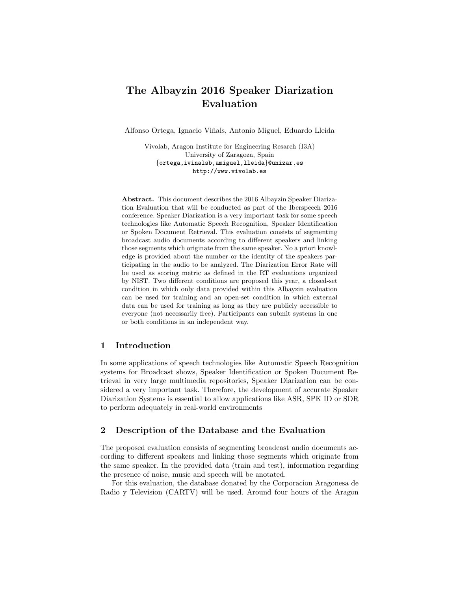# The Albayzin 2016 Speaker Diarization Evaluation

Alfonso Ortega, Ignacio Vi˜nals, Antonio Miguel, Eduardo Lleida

Vivolab, Aragon Institute for Engineering Resarch (I3A) University of Zaragoza, Spain {ortega,ivinalsb,amiguel,lleida}@unizar.es http://www.vivolab.es

Abstract. This document describes the 2016 Albayzin Speaker Diarization Evaluation that will be conducted as part of the Iberspeech 2016 conference. Speaker Diarization is a very important task for some speech technologies like Automatic Speech Recognition, Speaker Identification or Spoken Document Retrieval. This evaluation consists of segmenting broadcast audio documents according to different speakers and linking those segments which originate from the same speaker. No a priori knowledge is provided about the number or the identity of the speakers participating in the audio to be analyzed. The Diarization Error Rate will be used as scoring metric as defined in the RT evaluations organized by NIST. Two different conditions are proposed this year, a closed-set condition in which only data provided within this Albayzin evaluation can be used for training and an open-set condition in which external data can be used for training as long as they are publicly accessible to everyone (not necessarily free). Participants can submit systems in one or both conditions in an independent way.

### 1 Introduction

In some applications of speech technologies like Automatic Speech Recognition systems for Broadcast shows, Speaker Identification or Spoken Document Retrieval in very large multimedia repositories, Speaker Diarization can be considered a very important task. Therefore, the development of accurate Speaker Diarization Systems is essential to allow applications like ASR, SPK ID or SDR to perform adequately in real-world environments

## 2 Description of the Database and the Evaluation

The proposed evaluation consists of segmenting broadcast audio documents according to different speakers and linking those segments which originate from the same speaker. In the provided data (train and test), information regarding the presence of noise, music and speech will be anotated.

For this evaluation, the database donated by the Corporacion Aragonesa de Radio y Television (CARTV) will be used. Around four hours of the Aragon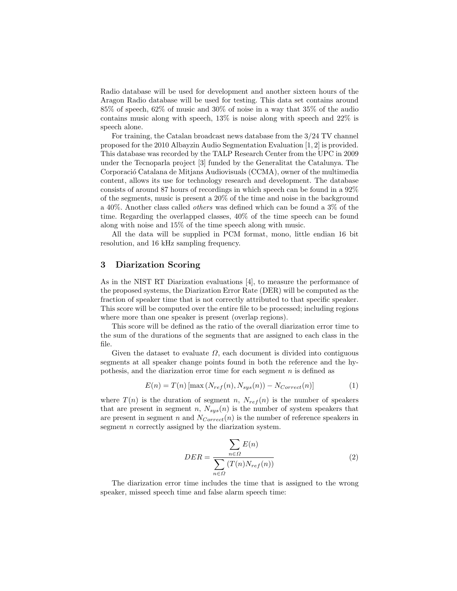Radio database will be used for development and another sixteen hours of the Aragon Radio database will be used for testing. This data set contains around 85% of speech, 62% of music and 30% of noise in a way that 35% of the audio contains music along with speech, 13% is noise along with speech and 22% is speech alone.

For training, the Catalan broadcast news database from the 3/24 TV channel proposed for the 2010 Albayzin Audio Segmentation Evaluation [1, 2] is provided. This database was recorded by the TALP Research Center from the UPC in 2009 under the Tecnoparla project [3] funded by the Generalitat the Catalunya. The Corporació Catalana de Mitjans Audiovisuals (CCMA), owner of the multimedia content, allows its use for technology research and development. The database consists of around 87 hours of recordings in which speech can be found in a 92% of the segments, music is present a 20% of the time and noise in the background a 40%. Another class called others was defined which can be found a 3% of the time. Regarding the overlapped classes, 40% of the time speech can be found along with noise and 15% of the time speech along with music.

All the data will be supplied in PCM format, mono, little endian 16 bit resolution, and 16 kHz sampling frequency.

#### 3 Diarization Scoring

As in the NIST RT Diarization evaluations [4], to measure the performance of the proposed systems, the Diarization Error Rate (DER) will be computed as the fraction of speaker time that is not correctly attributed to that specific speaker. This score will be computed over the entire file to be processed; including regions where more than one speaker is present (overlap regions).

This score will be defined as the ratio of the overall diarization error time to the sum of the durations of the segments that are assigned to each class in the file.

Given the dataset to evaluate  $\Omega$ , each document is divided into contiguous segments at all speaker change points found in both the reference and the hypothesis, and the diarization error time for each segment  $n$  is defined as

$$
E(n) = T(n) \left[ \max\left(N_{ref}(n), N_{sys}(n)\right) - N_{Correct}(n) \right] \tag{1}
$$

where  $T(n)$  is the duration of segment n,  $N_{ref}(n)$  is the number of speakers that are present in segment n,  $N_{sys}(n)$  is the number of system speakers that are present in segment n and  $N_{Correct}(n)$  is the number of reference speakers in segment *n* correctly assigned by the diarization system.

$$
DER = \frac{\sum_{n \in \Omega} E(n)}{\sum_{n \in \Omega} (T(n)N_{ref}(n))}
$$
\n(2)

The diarization error time includes the time that is assigned to the wrong speaker, missed speech time and false alarm speech time: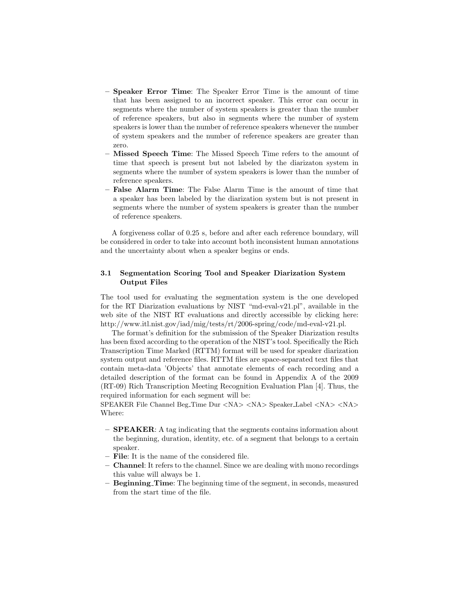- Speaker Error Time: The Speaker Error Time is the amount of time that has been assigned to an incorrect speaker. This error can occur in segments where the number of system speakers is greater than the number of reference speakers, but also in segments where the number of system speakers is lower than the number of reference speakers whenever the number of system speakers and the number of reference speakers are greater than zero.
- Missed Speech Time: The Missed Speech Time refers to the amount of time that speech is present but not labeled by the diarizaton system in segments where the number of system speakers is lower than the number of reference speakers.
- False Alarm Time: The False Alarm Time is the amount of time that a speaker has been labeled by the diarization system but is not present in segments where the number of system speakers is greater than the number of reference speakers.

A forgiveness collar of 0.25 s, before and after each reference boundary, will be considered in order to take into account both inconsistent human annotations and the uncertainty about when a speaker begins or ends.

#### 3.1 Segmentation Scoring Tool and Speaker Diarization System Output Files

The tool used for evaluating the segmentation system is the one developed for the RT Diarization evaluations by NIST "md-eval-v21.pl", available in the web site of the NIST RT evaluations and directly accessible by clicking here: http://www.itl.nist.gov/iad/mig/tests/rt/2006-spring/code/md-eval-v21.pl.

The format's definition for the submission of the Speaker Diarization results has been fixed according to the operation of the NIST's tool. Specifically the Rich Transcription Time Marked (RTTM) format will be used for speaker diarization system output and reference files. RTTM files are space-separated text files that contain meta-data 'Objects' that annotate elements of each recording and a detailed description of the format can be found in Appendix A of the 2009 (RT-09) Rich Transcription Meeting Recognition Evaluation Plan [4]. Thus, the required information for each segment will be:

SPEAKER File Channel Beg Time Dur <NA> <NA> Speaker Label <NA> <NA> Where:

- SPEAKER: A tag indicating that the segments contains information about the beginning, duration, identity, etc. of a segment that belongs to a certain speaker.
- File: It is the name of the considered file.
- Channel: It refers to the channel. Since we are dealing with mono recordings this value will always be 1.
- Beginning Time: The beginning time of the segment, in seconds, measured from the start time of the file.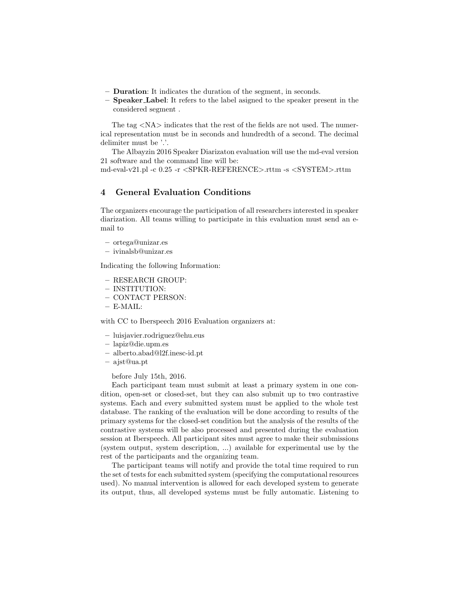- Duration: It indicates the duration of the segment, in seconds.
- Speaker Label: It refers to the label asigned to the speaker present in the considered segment .

The tag  $\langle N_{\rm A} \rangle$  indicates that the rest of the fields are not used. The numerical representation must be in seconds and hundredth of a second. The decimal delimiter must be '.'.

The Albayzin 2016 Speaker Diarizaton evaluation will use the md-eval version 21 software and the command line will be:

md-eval-v21.pl -c 0.25 -r <SPKR-REFERENCE>.rttm -s <SYSTEM>.rttm

## 4 General Evaluation Conditions

The organizers encourage the participation of all researchers interested in speaker diarization. All teams willing to participate in this evaluation must send an email to

- ortega@unizar.es
- ivinalsb@unizar.es

Indicating the following Information:

- RESEARCH GROUP:
- INSTITUTION:
- CONTACT PERSON:
- E-MAIL:

with CC to Iberspeech 2016 Evaluation organizers at:

- luisjavier.rodriguez@ehu.eus
- lapiz@die.upm.es
- alberto.abad@l2f.inesc-id.pt
- ajst@ua.pt

before July 15th, 2016.

Each participant team must submit at least a primary system in one condition, open-set or closed-set, but they can also submit up to two contrastive systems. Each and every submitted system must be applied to the whole test database. The ranking of the evaluation will be done according to results of the primary systems for the closed-set condition but the analysis of the results of the contrastive systems will be also processed and presented during the evaluation session at Iberspeech. All participant sites must agree to make their submissions (system output, system description, ...) available for experimental use by the rest of the participants and the organizing team.

The participant teams will notify and provide the total time required to run the set of tests for each submitted system (specifying the computational resources used). No manual intervention is allowed for each developed system to generate its output, thus, all developed systems must be fully automatic. Listening to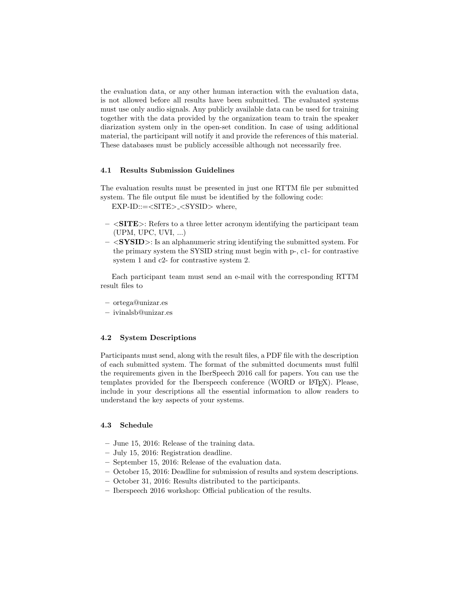the evaluation data, or any other human interaction with the evaluation data, is not allowed before all results have been submitted. The evaluated systems must use only audio signals. Any publicly available data can be used for training together with the data provided by the organization team to train the speaker diarization system only in the open-set condition. In case of using additional material, the participant will notify it and provide the references of this material. These databases must be publicly accessible although not necessarily free.

#### 4.1 Results Submission Guidelines

The evaluation results must be presented in just one RTTM file per submitted system. The file output file must be identified by the following code:

 $EXP-ID::=$  where,

- $-$  <**SITE**>: Refers to a three letter acronym identifying the participant team (UPM, UPC, UVI, ...)
- $-$  <**SYSID**>: Is an alphanumeric string identifying the submitted system. For the primary system the SYSID string must begin with p-, c1- for contrastive system 1 and c2- for contrastive system 2.

Each participant team must send an e-mail with the corresponding RTTM result files to

- ortega@unizar.es
- ivinalsb@unizar.es

#### 4.2 System Descriptions

Participants must send, along with the result files, a PDF file with the description of each submitted system. The format of the submitted documents must fulfil the requirements given in the IberSpeech 2016 call for papers. You can use the templates provided for the Iberspeech conference (WORD or L<sup>AT</sup>FX). Please, include in your descriptions all the essential information to allow readers to understand the key aspects of your systems.

#### 4.3 Schedule

- June 15, 2016: Release of the training data.
- July 15, 2016: Registration deadline.
- September 15, 2016: Release of the evaluation data.
- October 15, 2016: Deadline for submission of results and system descriptions.
- October 31, 2016: Results distributed to the participants.
- Iberspeech 2016 workshop: Official publication of the results.